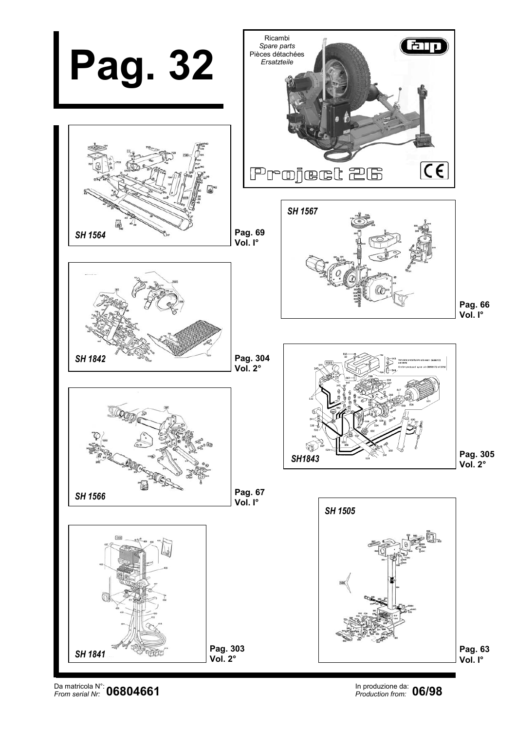

Da matricola N°: **OCOO 4CC4** Noted that the contract of the contract of the matricola of the contract of the contract of the contract of the matricola of the contract of the contract of the contract of the contract of the *From serial Nr: Production from:*

In produzione da: 06/98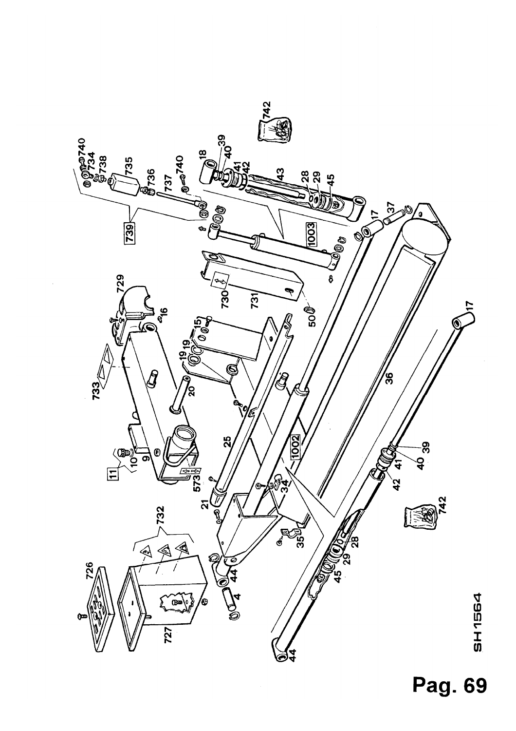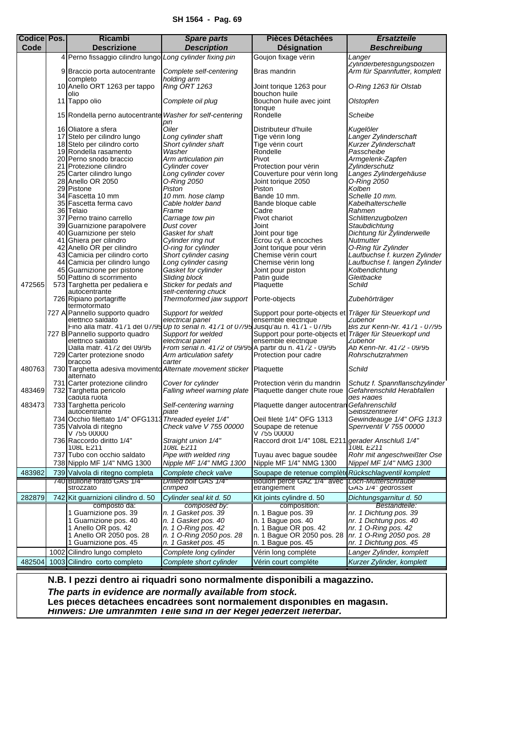<span id="page-2-0"></span>

| <b>Codice Pos.</b> | <b>Ricambi</b>                                                                    | <b>Spare parts</b>                                                           | <b>Pièces Détachées</b>                                                        | <b>Ersatzteile</b>                                           |
|--------------------|-----------------------------------------------------------------------------------|------------------------------------------------------------------------------|--------------------------------------------------------------------------------|--------------------------------------------------------------|
| Code               | <b>Descrizione</b>                                                                | <b>Description</b>                                                           | <b>Désignation</b>                                                             | <b>Beschreibung</b>                                          |
|                    | 4 Perno fissaggio cilindro lungo Long cylinder fixing pin                         |                                                                              | Goujon fixage vérin                                                            | Langer<br>Zylinderbetestigungsbolzen                         |
|                    | 9 Braccio porta autocentrante<br>completo                                         | Complete self-centering<br>holding arm                                       | Bras mandrin                                                                   | Arm für Spannfutter, komplett                                |
|                    | 10 Anello ORT 1263 per tappo<br>olio                                              | Ring ORT 1263                                                                | Joint torique 1263 pour<br>bouchon huile                                       | 0-Ring 1263 für Olstab                                       |
|                    | 11 Tappo olio                                                                     | Complete oil plug                                                            | Bouchon huile avec joint<br>torique                                            | Olstopfen                                                    |
|                    | 15 Rondella perno autocentrante Washer for self-centering                         | pin                                                                          | Rondelle                                                                       | Scheibe                                                      |
|                    | 16 Oliatore a sfera                                                               | Oiler                                                                        | Distributeur d'huile                                                           | Kugelöler                                                    |
|                    | 17 Stelo per cilindro lungo<br>18 Stelo per cilindro corto                        | Long cylinder shaft<br>Short cylinder shaft                                  | Tige vérin long<br>Tige vérin court                                            | Langer Zylinderschaft<br>Kurzer Zylinderschaft               |
|                    | 19 Rondella rasamento                                                             | Washer                                                                       | Rondelle                                                                       | Passcheibe                                                   |
|                    | 20 Perno snodo braccio                                                            | Arm articulation pin                                                         | Pivot                                                                          | Armgelenk-Zapfen                                             |
|                    | 21 Protezione cilindro                                                            | Cylinder cover                                                               | Protection pour vérin                                                          | Zylinderschutz                                               |
|                    | 25 Carter cilindro lungo                                                          | Long cylinder cover                                                          | Couverture pour vérin long                                                     | Langes Zylindergehäuse                                       |
|                    | 28 Anello OR 2050<br>29 Pistone                                                   | 0-Ring 2050<br>Piston                                                        | Joint torique 2050<br>Piston                                                   | 0-Ring 2050<br>Kolben                                        |
|                    | 34 Fascetta 10 mm                                                                 | 10 mm. hose clamp                                                            | Bande 10 mm.                                                                   | Schelle 10 mm.                                               |
|                    | 35 Fascetta ferma cavo                                                            | Cable holder band                                                            | Bande bloque cable                                                             | Kabelhalterschelle                                           |
|                    | 36 Telaio                                                                         | Frame                                                                        | Cadre                                                                          | Rahmen                                                       |
|                    | 37 Perno traino carrello<br>39 Guarnizione parapolvere                            | Carriage tow pin<br>Dust cover                                               | Pivot chariot<br>Joint                                                         | Schlittenzugbolzen<br>Staubdichtung                          |
|                    | 40 Guarnizione per stelo                                                          | Gasket for shaft                                                             | Joint pour tige                                                                | Dichtung für Zylinderwelle                                   |
|                    | 41 Ghiera per cilindro                                                            | Cylinder ring nut                                                            | Ecrou cyl. à encoches                                                          | Nutmutter                                                    |
|                    | 42 Anello OR per cilindro                                                         | O-ring for cylinder                                                          | Joint torique pour vérin                                                       | O-Ring für Zylinder                                          |
|                    | 43 Camicia per cilindro corto                                                     | Short cylinder casing                                                        | Chemise vérin court                                                            | Laufbuchse f. kurzen Zylinder                                |
|                    | 44 Camicia per cilindro lungo<br>45 Guarnizione per pistone                       | Long cylinder casing<br>Gasket for cylinder                                  | Chemise vérin long<br>Joint pour piston                                        | Laufbuchse f. langen Zylinder<br>Kolbendichtung              |
|                    | 50 Pattino di scorrimento                                                         | Sliding block                                                                | Patin guide                                                                    | Gleitbacke                                                   |
| 472565             | 573 Targhetta per pedaliera e                                                     | Sticker for pedals and                                                       | Plaquette                                                                      | Schild                                                       |
|                    | autocentrante                                                                     | selt-centering chuck                                                         |                                                                                |                                                              |
|                    | 726 Ripiano portagriffe<br>termotormato                                           | Thermoformed jaw support                                                     | Porte-objects                                                                  | Zubehörträger                                                |
|                    | 727 A Pannello supporto quadro<br>elettrico saldato                               | Support for welded<br>electrical panel                                       | Support pour porte-objects et Träger für Steuerkopf und<br>ensemble electrique | Zubehör                                                      |
|                    | Fino alla matr. 41/1 del 0//95                                                    | Up to serial n. 41/1 of U//95 Jusqu'au n. 41/1 - 0//95                       |                                                                                | Bis zur Kenn-Nr. 41/1 - 0//95                                |
|                    | 727 B Pannello supporto quadro                                                    | Support for welded                                                           | Support pour porte-objects et Träger für Steuerkopf und                        |                                                              |
|                    | elettrico saldato<br>Dalla matr. 4172 del 09/95                                   | electrical panel<br>From serial n. 4172 of 09/95 A partir du n. 4172 - 09/95 | ensemble electrique                                                            | Zubehör<br>Ab Kenn-Nr. 4172 - 09/95                          |
|                    | 729 Carter protezione snodo<br>braccio                                            | Arm articulation safety<br>carter                                            | Protection pour cadre                                                          | Rohrschutzrahmen                                             |
| 480763             | 730 Targhetta adesiva movimento Alternate movement sticker Plaquette<br>alternato |                                                                              |                                                                                | Schild                                                       |
| 483469             | 731 Carter protezione cilindro<br>732 Targhetta pericolo                          | Cover for cylinder<br>Falling wheel warning plate                            | Protection vérin du mandrin<br>Plaquette danger chute roue                     | Schutz f. Spannflanschzylinder<br>Gefahrenschild Herabfallen |
| 483473             | caduta ruota<br>733 Targhetta pericolo                                            | Self-centering warning                                                       | Plaquette danger autocentran                                                   | des Rades<br>Gefahrenschild                                  |
|                    | autocentrante                                                                     | plate                                                                        |                                                                                | Selbstzentrierer                                             |
|                    | 734 Occhio filettato 1/4" OFG1313 Threaded eyelet 1/4"                            |                                                                              | Oeil fileté 1/4" OFG 1313                                                      | Gewindeauge 1/4" OFG 1313                                    |
|                    | 735 Valvola di ritegno<br>V 755 00000                                             | Check valve V 755 00000                                                      | Soupape de retenue<br>V 755 00000                                              | Sperrventil V 755 00000                                      |
|                    | 736 Raccordo diritto 1/4"                                                         | Straight union 1/4"                                                          | Raccord droit 1/4" 108L E211                                                   | gerader Anschluß 1/4"                                        |
|                    | 108L E211<br>737 Tubo con occhio saldato                                          | 108L E211<br>Pipe with welded ring                                           | Tuyau avec bague soudée                                                        | 108L E211<br>Rohr mit angeschweißter Ose                     |
|                    | 738 Nipplo MF 1/4" NMG 1300                                                       | Nipple MF 1/4" NMG 1300                                                      | Nipple MF 1/4" NMG 1300                                                        | Nippel MF 1/4" NMG 1300                                      |
| 483982             | 739 Valvola di ritegno completa                                                   | Complete check valve                                                         | Soupape de retenue complète Rückschlagventil komplett                          |                                                              |
|                    | 740 Bullone forato GAS 1/4"<br>strozzato                                          | Drilled bolt GAS 1/4"<br>crimped                                             | Boulon perce GAZ 1/4" avec [Loch-Mutterschraube]<br>etranglement               | GAS 1/4" gedrosselt                                          |
| 282879             | 742 Kit guarnizioni cilindro d. 50                                                | Cylinder seal kit d. 50                                                      | Kit joints cylindre d. 50                                                      | Dichtungsgarnitur d. 50                                      |
|                    | composto da:                                                                      | composed by:                                                                 | composition:                                                                   | Bestandtelle:                                                |
|                    | 1 Guarnizione pos. 39                                                             | n. 1 Gasket pos. 39                                                          | n. 1 Baque pos. 39                                                             | nr. 1 Dichtung pos. 39                                       |
|                    | 1 Guarnizione pos. 40<br>1 Anello OR pos. 42                                      | n. 1 Gasket pos. 40<br>n. 1 O-Ring pos. 42                                   | n. 1 Bague pos. 40<br>n. 1 Bague OR pos. 42                                    | nr. 1 Dichtung pos. 40<br>nr. 1 O-Ring pos. 42               |
|                    | 1 Anello OR 2050 pos. 28                                                          | n. 1 O-Ring 2050 pos. 28                                                     | n. 1 Bague OR 2050 pos. 28                                                     | nr. 1 O-Ring 2050 pos. 28                                    |
|                    | 1 Guarnizione pos. 45                                                             | n. 1 Gasket pos. 45                                                          | n. 1 Bague pos. 45                                                             | nr. 1 Dichtung pos. 45                                       |
|                    | 1002 Cilindro lungo completo                                                      | Complete long cylinder                                                       | Vérin long compléte                                                            | Langer Zylinder, komplett                                    |
|                    | 482504 1003 Cilindro corto completo                                               | Complete short cylinder                                                      | Vérin court compléte                                                           | Kurzer Zylinder, komplett                                    |

*The parts in evidence are normally available from stock.*

**Les pièces détachées encadrées sont normalement disponibles en magasin.**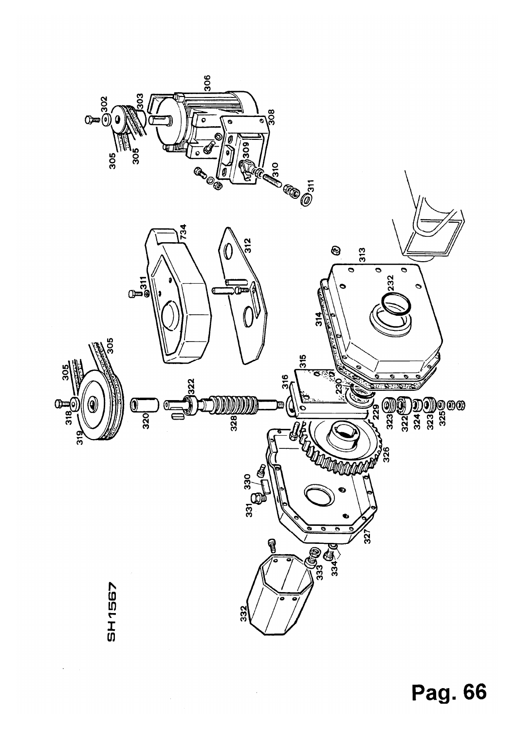

 $\hat{\boldsymbol{\beta}}$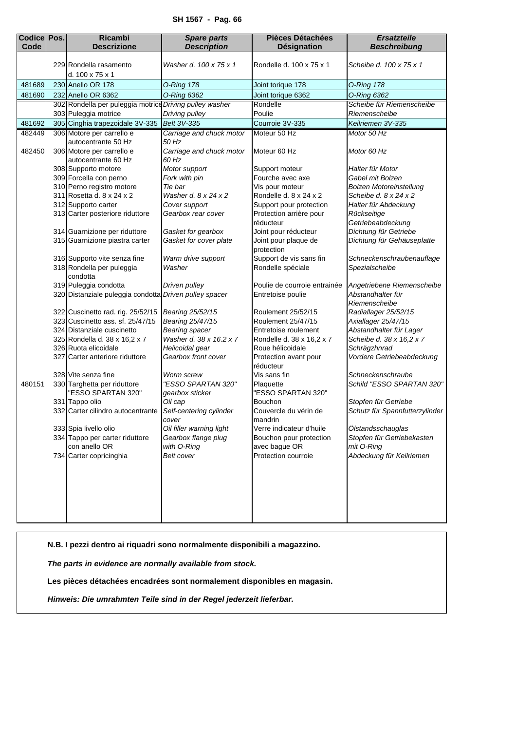## **SH 1567 - Pag. 66**

<span id="page-4-0"></span>

| <b>Codice Pos.</b> | <b>Ricambi</b>                                          | <b>Spare parts</b>                    | <b>Pièces Détachées</b>            | <b>Ersatzteile</b>             |
|--------------------|---------------------------------------------------------|---------------------------------------|------------------------------------|--------------------------------|
| Code               | <b>Descrizione</b>                                      | <b>Description</b>                    | <b>Désignation</b>                 | <b>Beschreibung</b>            |
|                    | 229 Rondella rasamento<br>d. 100 x 75 x 1               | Washer d. 100 x 75 x 1                | Rondelle d. 100 x 75 x 1           | Scheibe d. 100 x 75 x 1        |
| 481689             | 230 Anello OR 178                                       | <b>0-Ring 178</b>                     | Joint torique 178                  | <b>0-Ring 178</b>              |
| 481690             | 232 Anello OR 6362                                      | O-Ring 6362                           | Joint torique 6362                 | O-Ring 6362                    |
|                    | 302 Rondella per puleggia motrice Driving pulley washer |                                       | Rondelle                           | Scheibe für Riemenscheibe      |
|                    | 303 Puleggia motrice                                    | Driving pulley                        | Poulie                             | Riemenscheibe                  |
| 481692             | 305 Cinghia trapezoidale 3V-335                         | Belt 3V-335                           | Courroie 3V-335                    | Keilriemen 3V-335              |
| 482449             | 306 Motore per carrello e                               | Carriage and chuck motor              | Moteur 50 Hz                       | Motor 50 Hz                    |
|                    | autocentrante 50 Hz                                     | 50 Hz                                 |                                    |                                |
| 482450             | 306 Motore per carrello e                               | Carriage and chuck motor              | Moteur 60 Hz                       | Motor 60 Hz                    |
|                    | autocentrante 60 Hz                                     | 60 Hz                                 |                                    |                                |
|                    | 308 Supporto motore                                     | Motor support                         | Support moteur                     | Halter für Motor               |
|                    | 309 Forcella con perno                                  | Fork with pin                         | Fourche avec axe                   | Gabel mit Bolzen               |
|                    | 310 Perno registro motore                               | Tie bar                               | Vis pour moteur                    | <b>Bolzen Motoreinstellung</b> |
|                    | 311 Rosetta d. 8 x 24 x 2                               | Washer d. 8 x 24 x 2                  | Rondelle d. 8 x 24 x 2             | Scheibe d. 8 x 24 x 2          |
|                    | 312 Supporto carter                                     | Cover support                         | Support pour protection            | Halter für Abdeckung           |
|                    | 313 Carter posteriore riduttore                         | Gearbox rear cover                    | Protection arrière pour            | Rückseitige                    |
|                    |                                                         |                                       | réducteur                          | Getriebeabdeckung              |
|                    | 314 Guarnizione per riduttore                           | Gasket for gearbox                    | Joint pour réducteur               | Dichtung für Getriebe          |
|                    | 315 Guarnizione piastra carter                          | Gasket for cover plate                | Joint pour plaque de<br>protection | Dichtung für Gehäuseplatte     |
|                    | 316 Supporto vite senza fine                            | Warm drive support                    | Support de vis sans fin            | Schneckenschraubenauflage      |
|                    | 318 Rondella per puleggia<br>condotta                   | Washer                                | Rondelle spéciale                  | Spezialscheibe                 |
|                    | 319 Puleggia condotta                                   | Driven pulley                         | Poulie de courroie entrainée       | Angetriebene Riemenscheibe     |
|                    | 320 Distanziale puleggia condotta Driven pulley spacer  |                                       | Entretoise poulie                  | Abstandhalter für              |
|                    |                                                         |                                       |                                    | Riemenscheibe                  |
|                    | 322 Cuscinetto rad. rig. 25/52/15                       | Bearing 25/52/15                      | Roulement 25/52/15                 | Radiallager 25/52/15           |
|                    | 323 Cuscinetto ass. sf. 25/47/15                        | Bearing 25/47/15                      | Roulement 25/47/15                 | Axiallager 25/47/15            |
|                    | 324 Distanziale cuscinetto                              | <b>Bearing spacer</b>                 | Entretoise roulement               | Abstandhalter für Lager        |
|                    | 325 Rondella d. 38 x 16,2 x 7                           | Washer d. 38 x 16.2 x 7               | Rondelle d. 38 x 16,2 x 7          | Scheibe d. 38 x 16,2 x 7       |
|                    | 326 Ruota elicoidale                                    | Helicoidal gear                       | Roue hélicoidale                   | Schrägzhnrad                   |
|                    | 327 Carter anteriore riduttore                          | Gearbox front cover                   | Protection avant pour<br>réducteur | Vordere Getriebeabdeckung      |
|                    | 328 Vite senza fine                                     | Worm screw                            | Vis sans fin                       | Schneckenschraube              |
| 480151             | 330 Targhetta per riduttore<br>"ESSO SPARTAN 320"       | "ESSO SPARTAN 320"<br>gearbox sticker | Plaquette<br>"ESSO SPARTAN 320"    | Schild "ESSO SPARTAN 320"      |
|                    | 331 Tappo olio                                          | Oil cap                               | Bouchon                            | Stopfen für Getriebe           |
|                    | 332 Carter cilindro autocentrante                       | Self-centering cylinder               | Couvercle du vérin de              | Schutz für Spannfutterzylinder |
|                    |                                                         | cover                                 | mandrin                            |                                |
|                    | 333 Spia livello olio                                   | Oil filler warning light              | Verre indicateur d'huile           | Ölstandsschauglas              |
|                    | 334 Tappo per carter riduttore                          | Gearbox flange plug                   | Bouchon pour protection            | Stopfen für Getriebekasten     |
|                    | con anello OR                                           | with O-Ring                           | avec bague OR                      | mit O-Ring                     |
|                    | 734 Carter copricinghia                                 | Belt cover                            | Protection courroie                | Abdeckung für Keilriemen       |
|                    |                                                         |                                       |                                    |                                |
|                    |                                                         |                                       |                                    |                                |
|                    |                                                         |                                       |                                    |                                |
|                    |                                                         |                                       |                                    |                                |
|                    |                                                         |                                       |                                    |                                |
|                    |                                                         |                                       |                                    |                                |

**N.B. I pezzi dentro ai riquadri sono normalmente disponibili a magazzino.**

*The parts in evidence are normally available from stock.*

**Les pièces détachées encadrées sont normalement disponibles en magasin.**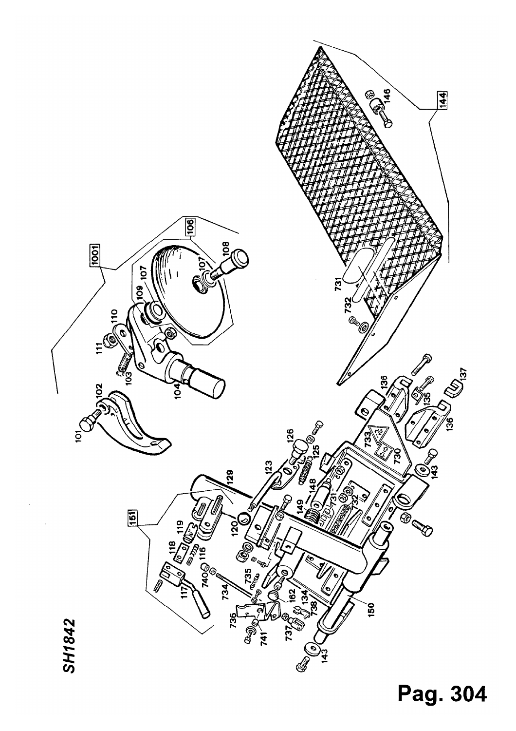

Pag. 304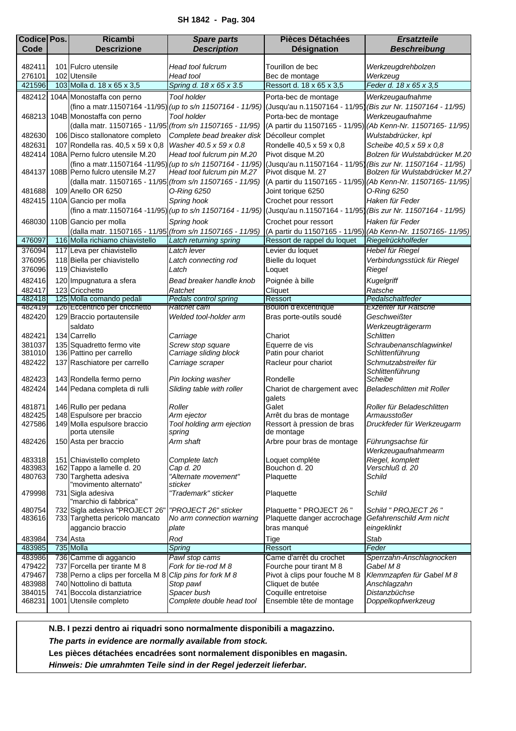<span id="page-6-0"></span>

| <b>Codice Pos.</b> | <b>Ricambi</b>                                                                                       | <b>Spare parts</b>                   | <b>Pièces Détachées</b>                    | <b>Ersatzteile</b>                                                                                                      |
|--------------------|------------------------------------------------------------------------------------------------------|--------------------------------------|--------------------------------------------|-------------------------------------------------------------------------------------------------------------------------|
| Code               | <b>Descrizione</b>                                                                                   | <b>Description</b>                   | <b>Désignation</b>                         | <b>Beschreibung</b>                                                                                                     |
|                    |                                                                                                      |                                      |                                            |                                                                                                                         |
| 482411             | 101 Fulcro utensile                                                                                  | Head tool fulcrum                    | Tourillon de bec                           | Werkzeugdrehbolzen                                                                                                      |
| 276101             | 102 Utensile<br>103 Molla d. 18 x 65 x 3,5                                                           | Head tool<br>Spring d. 18 x 65 x 3.5 | Bec de montage<br>Ressort d. 18 x 65 x 3,5 | Werkzeug<br>Feder d. 18 x 65 x 3,5                                                                                      |
| 421596             |                                                                                                      |                                      |                                            |                                                                                                                         |
| 482412             | 104A Monostaffa con perno                                                                            | <b>Tool holder</b>                   | Porta-bec de montage                       | Werkzeugaufnahme                                                                                                        |
|                    |                                                                                                      |                                      |                                            | (fino a matr.11507164 -11/95) (up to s/n 11507164 - 11/95) (Jusqu'au n.11507164 - 11/95) (Bis zur Nr. 11507164 - 11/95) |
|                    | 468213 104B Monostaffa con perno                                                                     | <b>Tool holder</b>                   | Porta-bec de montage                       | Werkzeugaufnahme                                                                                                        |
|                    | (dalla matr. 11507165 - 11/95 (from s/n 11507165 - 11/95)                                            |                                      |                                            | (A partir du 11507165 - 11/95) (Ab Kenn-Nr. 11507165- 11/95)                                                            |
| 482630             | 106 Disco stallonatore completo                                                                      | Complete bead breaker disk           | Décolleur complet                          | Wulstabdrücker, kpl                                                                                                     |
| 482631             | 107 Rondella ras. 40,5 x 59 x 0,8                                                                    | Washer 40.5 x 59 x 0.8               | Rondelle 40,5 x 59 x 0,8                   | Scheibe 40,5 x 59 x 0,8                                                                                                 |
|                    | 482414 108A Perno fulcro utensile M.20                                                               | Head tool fulcrum pin M.20           | Pivot disque M.20                          | Bolzen für Wulstabdrücker M.20                                                                                          |
|                    | (fino a matr.11507164 -11/95) (up to s/n 11507164 - 11/95)<br>484137 108B Perno fulcro utensile M.27 | Head tool fulcrum pin M.27           | Pivot disque M. 27                         | (Jusqu'au n.11507164 - 11/95) (Bis zur Nr. 11507164 - 11/95)<br>Bolzen für Wulstabdrücker M.27                          |
|                    | (dalla matr. 11507165 - 11/95 (from s/n 11507165 - 11/95)                                            |                                      |                                            | (A partir du 11507165 - 11/95) (Ab Kenn-Nr. 11507165- 11/95)                                                            |
| 481688             | 109 Anello OR 6250                                                                                   | O-Ring 6250                          | Joint torique 6250                         | O-Ring 6250                                                                                                             |
|                    | 482415 110A Gancio per molla                                                                         | Spring hook                          | Crochet pour ressort                       | Haken für Feder                                                                                                         |
|                    |                                                                                                      |                                      |                                            | (fino a matr.11507164 -11/95) (up to s/n 11507164 - 11/95) (Jusqu'au n.11507164 - 11/95) (Bis zur Nr. 11507164 - 11/95) |
|                    | 468030 110B Gancio per molla                                                                         | Spring hook                          | Crochet pour ressort                       | Haken für Feder                                                                                                         |
|                    | (dalla matr. 11507165 - 11/95 (from s/n 11507165 - 11/95)                                            |                                      |                                            | (A partir du 11507165 - 11/95) (Ab Kenn-Nr. 11507165- 11/95)                                                            |
| 476097             | 116 Molla richiamo chiavistello                                                                      | Latch returning spring               | Ressort de rappel du loquet                | Riegelrückholfeder                                                                                                      |
| 376094             | 117 Leva per chiavistello                                                                            | Latch lever                          | Levier du loquet                           | Hebel für Riegel                                                                                                        |
| 376095             | 118 Biella per chiavistello                                                                          | Latch connecting rod                 | Bielle du loquet                           | Verbindungsstück für Riegel                                                                                             |
| 376096             | 119 Chiavistello                                                                                     | Latch                                | Loquet                                     | Riegel                                                                                                                  |
| 482416             | 120 Impugnatura a sfera                                                                              | Bead breaker handle knob             | Poignée à bille                            | Kugelgriff                                                                                                              |
| 482417             | 123 Cricchetto                                                                                       | Ratchet                              | Cliquet                                    | Ratsche                                                                                                                 |
| 482418             | 125 Molla comando pedali                                                                             | Pedals control spring                | Ressort                                    | Pedalschaltfeder                                                                                                        |
| 482419             | 126 Eccentrico per cricchetto                                                                        | Ratchet cam                          | Boulon d'excentrique                       | Exzenter für Ratsche                                                                                                    |
| 482420             | 129 Braccio portautensile                                                                            | Welded tool-holder arm               | Bras porte-outils soudé                    | Geschweißter                                                                                                            |
|                    | saldato                                                                                              |                                      |                                            | Werkzeugträgerarm                                                                                                       |
| 482421             | 134 Carrello                                                                                         | Carriage                             | Chariot                                    | Schlitten                                                                                                               |
| 381037<br>381010   | 135 Squadretto fermo vite                                                                            | Screw stop square                    | Equerre de vis<br>Patin pour chariot       | Schraubenanschlagwinkel                                                                                                 |
| 482422             | 136 Pattino per carrello<br>137 Raschiatore per carrello                                             | Carriage sliding block               | Racleur pour chariot                       | Schlittenführung<br>Schmutzabstreifer für                                                                               |
|                    |                                                                                                      | Carriage scraper                     |                                            | Schlittenführung                                                                                                        |
| 482423             | 143 Rondella fermo perno                                                                             | Pin locking washer                   | Rondelle                                   | Scheibe                                                                                                                 |
| 482424             | 144 Pedana completa di rulli                                                                         | Sliding table with roller            | Chariot de chargement avec                 | <b>Beladeschlitten mit Roller</b>                                                                                       |
|                    |                                                                                                      |                                      | galets                                     |                                                                                                                         |
| 481871             | 146 Rullo per pedana                                                                                 | Roller                               | Galet                                      | Roller für Beladeschlitten                                                                                              |
| 482425             | 148 Espulsore per braccio                                                                            | Arm ejector                          | Arrêt du bras de montage                   | Armausstoßer                                                                                                            |
| 427586             | 149 Molla espulsore braccio<br>porta utensile                                                        | Tool holding arm ejection            | Ressort à pression de bras<br>de montage   | Druckfeder für Werkzeugarm                                                                                              |
| 482426             | 150 Asta per braccio                                                                                 | spring<br>Arm shaft                  | Arbre pour bras de montage                 | Führungsachse für                                                                                                       |
|                    |                                                                                                      |                                      |                                            | Werkzeugaufnahmearm                                                                                                     |
| 483318             | 151 Chiavistello completo                                                                            | Complete latch                       | Loquet compléte                            | Riegel, komplett                                                                                                        |
| 483983             | 162 Tappo a lamelle d. 20                                                                            | Cap d. 20                            | Bouchon d. 20                              | Verschluß d. 20                                                                                                         |
| 480763             | 730 Targhetta adesiva                                                                                | "Alternate movement"                 | Plaquette                                  | Schild                                                                                                                  |
|                    | "movimento alternato"                                                                                | sticker                              |                                            |                                                                                                                         |
| 479998             | 731 Sigla adesiva<br>"marchio di fabbrica"                                                           | "Trademark" sticker                  | Plaquette                                  | Schild                                                                                                                  |
| 480754             | 732 Sigla adesiva "PROJECT 26"                                                                       | PROJECT 26" sticker                  | Plaquette " PROJECT 26 "                   | Schild " PROJECT 26"                                                                                                    |
| 483616             | 733 Targhetta pericolo mancato                                                                       | No arm connection warning            | Plaquette danger accrochage                | Gefahrenschild Arm nicht                                                                                                |
|                    | aggancio braccio                                                                                     | plate                                | bras manqué                                | eingeklinkt                                                                                                             |
| 483984             | 734 Asta                                                                                             | Rod                                  | Tige                                       | Stab                                                                                                                    |
| 483985             | 735 Molla                                                                                            | <b>Spring</b>                        | Ressort                                    | Feder                                                                                                                   |
| 483986             | 736 Camme di aggancio                                                                                | Pawl stop cams                       | Came d'arrêt du crochet                    | Sperrzahn-Anschlagnocken                                                                                                |
| 479422             | 737 Forcella per tirante M 8                                                                         | Fork for tie-rod M 8                 | Fourche pour tirant M 8                    | Gabel M 8                                                                                                               |
| 479467             | 738 Perno a clips per forcella M 8 Clip pins for fork M 8                                            |                                      | Pivot à clips pour fouche M 8              | Klemmzapfen für Gabel M 8                                                                                               |
| 483988             | 740 Nottolino di battuta                                                                             | Stop pawl                            | Cliquet de butée                           | Anschlagzahn                                                                                                            |
| 384015             | 741 Boccola distanziatrice                                                                           | Spacer bush                          | Coquille entretoise                        | Distanzbüchse                                                                                                           |
| 468231             | 1001 Utensile completo                                                                               | Complete double head tool            | Ensemble tête de montage                   | Doppelkopfwerkzeug                                                                                                      |

*The parts in evidence are normally available from stock.*

**Les pièces détachées encadrées sont normalement disponibles en magasin.**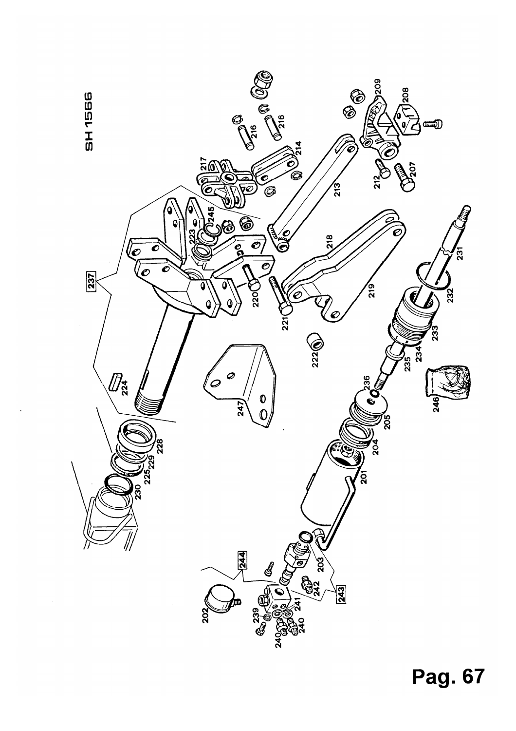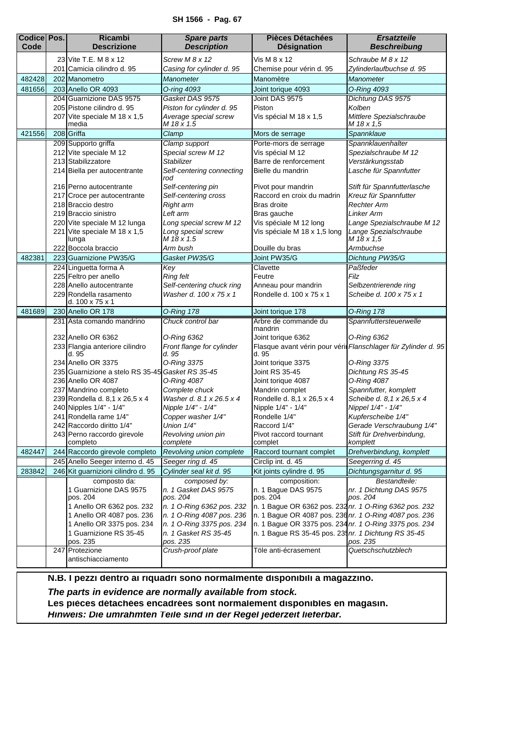## **SH 1566 - Pag. 67**

<span id="page-8-0"></span>

| <b>Codice Pos.</b> | <b>Ricambi</b>                                            | <b>Spare parts</b>                             | <b>Pièces Détachées</b>                                | <b>Ersatzteile</b>                                             |
|--------------------|-----------------------------------------------------------|------------------------------------------------|--------------------------------------------------------|----------------------------------------------------------------|
| Code               | <b>Descrizione</b>                                        | <b>Description</b>                             | <b>Désignation</b>                                     | <b>Beschreibung</b>                                            |
|                    | 23 Vite T.E. M 8 x 12                                     | Screw M 8 x 12                                 | Vis M 8 x 12                                           | Schraube M 8 x 12                                              |
|                    | 201 Camicia cilindro d. 95                                | Casing for cylinder d. 95                      | Chemise pour vérin d. 95                               | Zylinderlaufbuchse d. 95                                       |
| 482428             | 202 Manometro                                             | Manometer                                      | Manomètre                                              | <b>Manometer</b>                                               |
| 481656             | 203 Anello OR 4093                                        | O-ring 4093                                    | Joint torique 4093                                     | O-Ring 4093                                                    |
|                    | 204 Guarnizione DAS 9575                                  | Gasket DAS 9575                                | Joint DAS 9575                                         | Dichtung DAS 9575                                              |
|                    | 205 Pistone cilindro d. 95                                | Piston for cylinder d. 95                      | Piston                                                 | Kolben                                                         |
|                    | 207 Vite speciale M 18 x 1,5<br>media                     | Average special screw<br>M 18 x 1.5            | Vis spécial M 18 x 1,5                                 | Mittlere Spezialschraube<br>M 18 x 1,5                         |
| 421556             | 208 Griffa                                                | Clamp                                          | Mors de serrage                                        | Spannklaue                                                     |
|                    | 209 Supporto griffa                                       | Clamp support                                  | Porte-mors de serrage                                  | Spannklauenhalter                                              |
|                    | 212 Vite speciale M 12                                    | Special screw M 12                             | Vis spécial M 12                                       | Spezialschraube M 12                                           |
|                    | 213 Stabilizzatore                                        | Stabilizer                                     | Barre de renforcement                                  | Verstärkungsstab                                               |
|                    | 214 Biella per autocentrante                              | Self-centering connecting<br>rod               | Bielle du mandrin                                      | Lasche für Spannfutter                                         |
|                    | 216 Perno autocentrante                                   | Self-centering pin                             | Pivot pour mandrin                                     | Stift für Spannfutterlasche                                    |
|                    | 217 Croce per autocentrante                               | Self-centering cross                           | Raccord en croix du madrin                             | Kreuz für Spannfutter                                          |
|                    | 218 Braccio destro                                        | Right arm                                      | Bras droite                                            | <b>Rechter Arm</b>                                             |
|                    | 219 Braccio sinistro                                      | Left arm                                       | Bras gauche                                            | <b>Linker Arm</b>                                              |
|                    | 220 Vite speciale M 12 lunga                              | Long special screw M 12                        | Vis spéciale M 12 long                                 | Lange Spezialschraube M 12                                     |
|                    | 221 Vite speciale M 18 x 1,5<br>lunga                     | Long special screw<br>M 18 x 1.5               | Vis spéciale M 18 x 1,5 long                           | Lange Spezialschraube<br>M 18 x 1,5                            |
|                    | 222 Boccola braccio                                       | Arm bush                                       | Douille du bras                                        | Armbuchse                                                      |
| 482381             | 223 Guarnizione PW35/G                                    | Gasket PW35/G                                  | Joint PW35/G                                           | Dichtung PW35/G                                                |
|                    | 224 Linguetta forma A                                     | Key                                            | Clavette                                               | Paßfeder                                                       |
|                    | 225 Feltro per anello                                     | <b>Ring felt</b>                               | Feutre                                                 | Filz                                                           |
|                    | 228 Anello autocentrante                                  | Self-centering chuck ring                      | Anneau pour mandrin                                    | Selbzentrierende ring                                          |
|                    | 229 Rondella rasamento<br>d. 100 x 75 x 1                 | Washer d. 100 x 75 x 1                         | Rondelle d. 100 x 75 x 1                               | Scheibe d. 100 x 75 x 1                                        |
| 481689             | 230 Anello OR 178                                         | <b>O-Ring 178</b>                              | Joint torique 178                                      | <b>O-Ring 178</b>                                              |
|                    | 231 Asta comando mandrino                                 | Chuck control bar                              | Arbre de commande du<br>mandrin                        | Spannfuttersteuerwelle                                         |
|                    | 232 Anello OR 6362                                        | O-Ring 6362                                    | Joint torique 6362                                     | O-Ring 6362                                                    |
|                    | 233 Flangia anteriore cilindro<br>d. 95                   | Front flange for cylinder<br>d. 95             | d. 95                                                  | Flasque avant vérin pour vérir Flanschlager für Zylinder d. 95 |
|                    | 234 Anello OR 3375                                        | O-Ring 3375                                    | Joint torique 3375                                     | O-Ring 3375                                                    |
|                    | 235 Guarnizione a stelo RS 35-45 Gasket RS 35-45          |                                                | Joint RS 35-45                                         | Dichtung RS 35-45                                              |
|                    | 236 Anello OR 4087                                        | 0-Ring 4087                                    | Joint torique 4087                                     | 0-Ring 4087                                                    |
|                    | 237 Mandrino completo                                     | Complete chuck                                 | Mandrin complet                                        | Spannfutter, komplett                                          |
|                    | 239 Rondella d. 8,1 x 26,5 x 4<br>240 Nipples 1/4" - 1/4" | Washer d. 8.1 x 26.5 x 4<br>Nipple 1/4" - 1/4" | Rondelle d. 8,1 x 26,5 x 4<br>Nipple 1/4" - 1/4"       | Scheibe d. 8,1 x 26,5 x 4<br>Nippel 1/4" - 1/4"                |
|                    | 241 Rondella rame 1/4"                                    | Copper washer 1/4"                             | Rondelle 1/4"                                          | Kupferscheibe 1/4"                                             |
|                    | 242 Raccordo diritto 1/4"                                 | Union 1/4"                                     | Raccord 1/4"                                           | Gerade Verschraubung 1/4"                                      |
|                    | 243 Perno raccordo girevole                               | Revolving union pin                            | Pivot raccord tournant                                 | Stift für Drehverbindung,                                      |
|                    | completo                                                  | complete                                       | complet                                                | komplett                                                       |
| 482447             | 244 Raccordo girevole completo                            | Revolving union complete                       | Raccord tournant complet                               | Drehverbindung, komplett                                       |
|                    | 245 Anello Seeger interno d. 45                           | Seeger ring d. 45                              | Circlip int. d. 45                                     | Seegerring d. 45                                               |
| 283842             | 246 Kit guarnizioni cilindro d. 95                        | Cylinder seal kit d. 95                        | Kit joints cylindre d. 95                              | Dichtungsgarnitur d. 95                                        |
|                    | composto da:                                              | composed by:                                   | composition:                                           | Bestandteile:                                                  |
|                    | 1 Guarnizione DAS 9575<br>pos. 204                        | n. 1 Gasket DAS 9575<br>pos. 204               | n. 1 Bague DAS 9575<br>pos. 204                        | nr. 1 Dichtung DAS 9575<br>pos. 204                            |
|                    | 1 Anello OR 6362 pos. 232                                 | n. 1 O-Ring 6362 pos. 232                      | n. 1 Bague OR 6362 pos. 232 nr. 1 O-Ring 6362 pos. 232 |                                                                |
|                    | 1 Anello OR 4087 pos. 236                                 | n. 1 O-Ring 4087 pos. 236                      | n. 1 Bague OR 4087 pos. 236 nr. 1 O-Ring 4087 pos. 236 |                                                                |
|                    | 1 Anello OR 3375 pos. 234                                 | n. 1 O-Ring 3375 pos. 234                      | n. 1 Bague OR 3375 pos. 234 nr. 1 O-Ring 3375 pos. 234 |                                                                |
|                    | 1 Guarnizione RS 35-45<br>pos. 235                        | n. 1 Gasket RS 35-45<br>pos. 235               | n. 1 Bague RS 35-45 pos. 235 nr. 1 Dichtung RS 35-45   | pos. 235                                                       |
|                    | 247 Protezione                                            | Crush-proof plate                              | Töle anti-écrasement                                   | Quetschschutzblech                                             |
|                    | antischiacciamento                                        |                                                |                                                        |                                                                |

**N.B. I pezzi dentro ai riquadri sono normalmente disponibili a magazzino.** *The parts in evidence are normally available from stock.* Les pièces détachées encadrées sont normalement disponibles en magasin. *Hinweis: Die umrahmten Teile sind in der Regel jederzeit lieferbar.*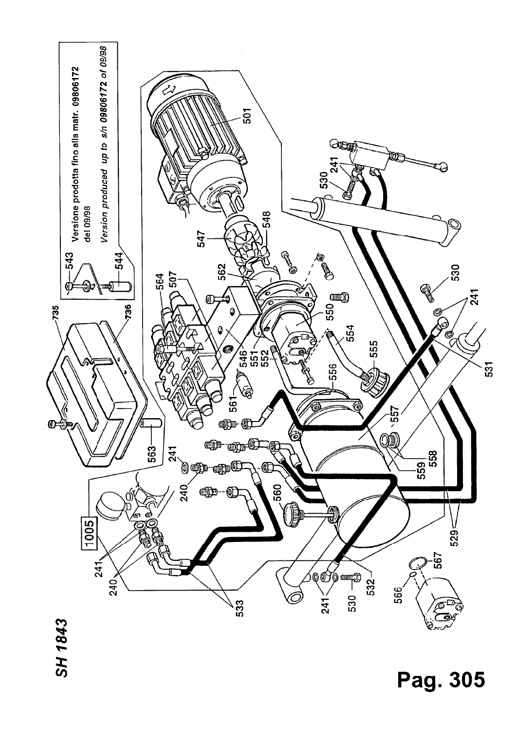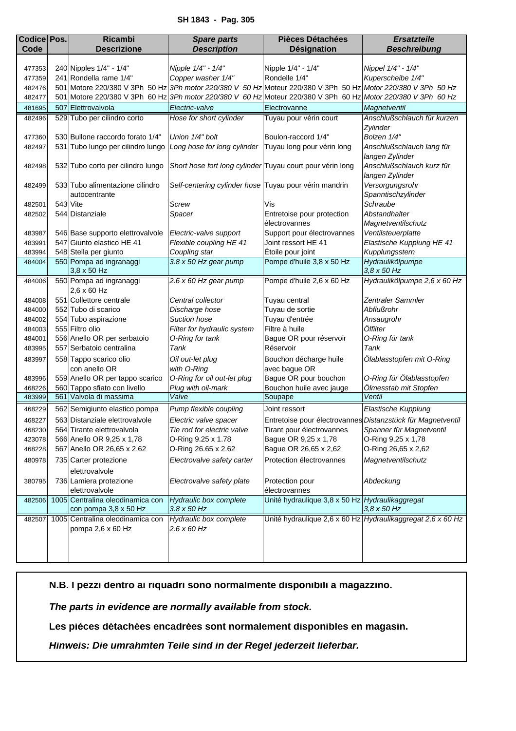<span id="page-10-0"></span>

| <b>Codice Pos.</b> | <b>Ricambi</b>                                   | <b>Spare parts</b>                                        | <b>Pièces Détachées</b>                                                                                       | <b>Ersatzteile</b>                                          |
|--------------------|--------------------------------------------------|-----------------------------------------------------------|---------------------------------------------------------------------------------------------------------------|-------------------------------------------------------------|
| Code               | <b>Descrizione</b>                               | <b>Description</b>                                        | Désignation                                                                                                   | <b>Beschreibung</b>                                         |
|                    |                                                  |                                                           |                                                                                                               |                                                             |
| 477353             | 240 Nipples 1/4" - 1/4"                          | Nipple 1/4" - 1/4"                                        | Nipple 1/4" - 1/4"                                                                                            | Nippel 1/4" - 1/4"                                          |
| 477359             | 241 Rondella rame 1/4"                           | Copper washer 1/4"                                        | Rondelle 1/4"                                                                                                 | Kuperscheibe 1/4"                                           |
| 482476             |                                                  |                                                           | 501 Motore 220/380 V 3Ph 50 Hz 3Ph motor 220/380 V 50 Hz Moteur 220/380 V 3Ph 50 Hz Motor 220/380 V 3Ph 50 Hz |                                                             |
| 482477             |                                                  |                                                           | 501 Motore 220/380 V 3Ph 60 Hz 3Ph motor 220/380 V 60 Hz Moteur 220/380 V 3Ph 60 Hz Motor 220/380 V 3Ph 60 Hz |                                                             |
| 481695             | 507 Elettrovalvola                               | Electric-valve                                            | Electrovanne                                                                                                  | Magnetventil                                                |
| 482496             | 529 Tubo per cilindro corto                      | Hose for short cylinder                                   | Tuyau pour vérin court                                                                                        | Anschlußschlauch für kurzen                                 |
|                    |                                                  |                                                           |                                                                                                               | Zylinder                                                    |
| 477360             | 530 Bullone raccordo forato 1/4"                 | Union 1/4" bolt                                           | Boulon-raccord 1/4"                                                                                           | Bolzen 1/4"                                                 |
| 482497             | 531 Tubo lungo per cilindro lungo                | Long hose for long cylinder Tuyau long pour vérin long    |                                                                                                               | Anschlußschlauch lang für                                   |
|                    |                                                  |                                                           |                                                                                                               | langen Zylinder                                             |
| 482498             | 532 Tubo corto per cilindro lungo                | Short hose fort long cylinder Tuyau court pour vérin long |                                                                                                               | Anschlußschlauch kurz für                                   |
|                    |                                                  |                                                           |                                                                                                               | langen Zylinder                                             |
| 482499             | 533 Tubo alimentazione cilindro<br>autocentrante | Self-centering cylinder hose Tuyau pour vérin mandrin     |                                                                                                               | Versorgungsrohr<br>Spanntischzylinder                       |
| 482501             | 543 Vite                                         | Screw                                                     | Vis                                                                                                           | Schraube                                                    |
| 482502             | 544 Distanziale                                  | Spacer                                                    | Entretoise pour protection                                                                                    | Abstandhalter                                               |
|                    |                                                  |                                                           | électrovannes                                                                                                 | Magnetventilschutz                                          |
| 483987             | 546 Base supporto elettrovalvole                 | Electric-valve support                                    | Support pour électrovannes                                                                                    | Ventilsteuerplatte                                          |
| 483991             | 547 Giunto elastico HE 41                        | Flexible coupling HE 41                                   | Joint ressort HE 41                                                                                           | Elastische Kupplung HE 41                                   |
| 483994             | 548 Stella per giunto                            | Coupling star                                             | Étoile pour joint                                                                                             | Kupplungsstern                                              |
| 484004             | 550 Pompa ad ingranaggi                          | $3.8 \times 50$ Hz gear pump                              | Pompe d'huile 3,8 x 50 Hz                                                                                     | Hydraulikölpumpe                                            |
|                    | 3,8 x 50 Hz                                      |                                                           |                                                                                                               | $3,8 \times 50$ Hz                                          |
| 484006             | 550 Pompa ad ingranaggi                          | 2.6 x 60 Hz gear pump                                     | Pompe d'huile 2,6 x 60 Hz                                                                                     | Hydraulikölpumpe 2,6 x 60 Hz                                |
|                    | 2,6 x 60 Hz                                      |                                                           |                                                                                                               |                                                             |
| 484008             | 551 Collettore centrale                          | Central collector                                         | Tuyau central                                                                                                 | Zentraler Sammler                                           |
| 484000             | 552 Tubo di scarico                              | Discharge hose                                            | Tuyau de sortie                                                                                               | Abflußrohr                                                  |
| 484002             | 554 Tubo aspirazione                             | Suction hose                                              | Tuyau d'entrée                                                                                                | Ansaugrohr                                                  |
| 484003             | 555 Filtro olio                                  | Filter for hydraulic system                               | Filtre à huile                                                                                                | Ölfilter                                                    |
| 484001             | 556 Anello OR per serbatoio                      | O-Ring for tank                                           | Bague OR pour réservoir                                                                                       | O-Ring für tank                                             |
| 483995             | 557 Serbatoio centralina                         | Tank                                                      | Réservoir                                                                                                     | Tank                                                        |
| 483997             | 558 Tappo scarico olio                           | Oil out-let plug                                          | Bouchon décharge huile                                                                                        | Ölablasstopfen mit O-Ring                                   |
|                    | con anello OR                                    | with O-Ring                                               | avec bague OR                                                                                                 |                                                             |
| 483996             | 559 Anello OR per tappo scarico                  | O-Ring for oil out-let plug                               | Bague OR pour bouchon                                                                                         | O-Ring für Ölablasstopfen                                   |
| 468226             | 560 Tappo sfiato con livello                     | Plug with oil-mark                                        | Bouchon huile avec jauge                                                                                      | Ölmesstab mit Stopfen                                       |
| 483999             | 561 Valvola di massima                           | Valve                                                     | Soupape                                                                                                       | Ventil                                                      |
| 468229             | 562 Semigiunto elastico pompa                    | Pump flexible coupling                                    | Joint ressort                                                                                                 | Elastische Kupplung                                         |
| 468227             | 563 Distanziale elettrovalvole                   | Electric valve spacer                                     |                                                                                                               | Entretoise pour électrovannes Distanzstück für Magnetventil |
| 468230             | 564 Tirante elettrovalvola                       | Tie rod for electric valve                                | Tirant pour électrovannes                                                                                     | Spanner für Magnetventil                                    |
| 423078             | 566 Anello OR 9,25 x 1,78                        | O-Ring 9.25 x 1.78                                        | Bague OR 9,25 x 1,78                                                                                          | O-Ring 9,25 x 1,78                                          |
| 468228             | 567 Anello OR 26,65 x 2,62                       | O-Ring 26.65 x 2.62                                       | Bague OR 26,65 x 2,62                                                                                         | O-Ring 26,65 x 2,62                                         |
| 480978             | 735 Carter protezione                            | Electrovalve safety carter                                | Protection électrovannes                                                                                      | Magnetventilschutz                                          |
|                    | elettrovalvole                                   |                                                           |                                                                                                               |                                                             |
| 380795             | 736 Lamiera protezione                           | Electrovalve safety plate                                 | Protection pour                                                                                               | Abdeckung                                                   |
|                    | elettrovalvole                                   |                                                           | électrovannes                                                                                                 |                                                             |
| 482506             | 1005 Centralina oleodinamica con                 | Hydraulic box complete                                    | Unité hydraulique 3,8 x 50 Hz Hydraulikaggregat                                                               |                                                             |
|                    | con pompa 3,8 x 50 Hz                            | $3.8 \times 50$ Hz                                        |                                                                                                               | $3.8 \times 50$ Hz                                          |
| 482507             | 1005 Centralina oleodinamica con                 | Hydraulic box complete                                    |                                                                                                               | Unité hydraulique 2,6 x 60 Hz Hydraulikaggregat 2,6 x 60 Hz |
|                    | pompa 2,6 x 60 Hz                                | $2.6 \times 60$ Hz                                        |                                                                                                               |                                                             |
|                    |                                                  |                                                           |                                                                                                               |                                                             |
|                    |                                                  |                                                           |                                                                                                               |                                                             |
|                    |                                                  |                                                           |                                                                                                               |                                                             |

*The parts in evidence are normally available from stock.*

**Les pièces détachées encadrées sont normalement disponibles en magasin.**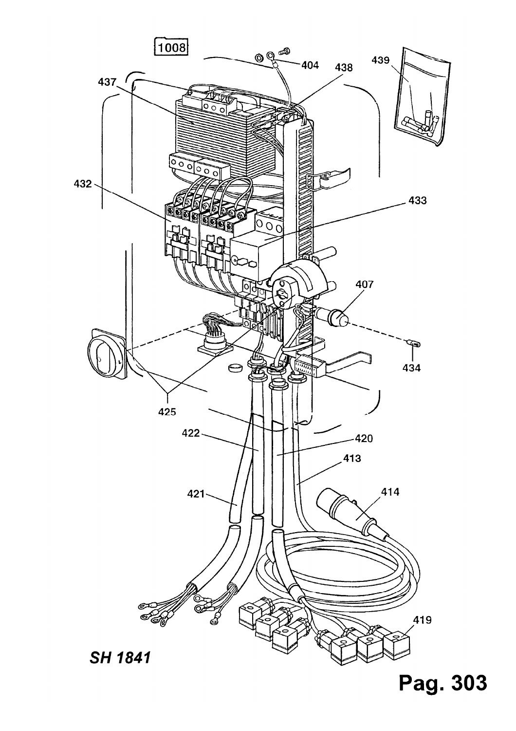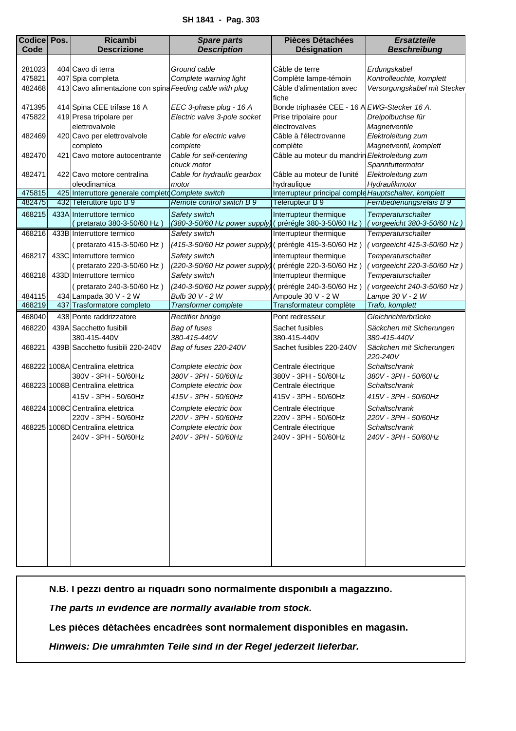<span id="page-12-0"></span>

| <b>Codice Pos.</b> | <b>Ricambi</b>                                           | <b>Spare parts</b>                                      | <b>Pièces Détachées</b>                               | <b>Ersatzteile</b>                     |
|--------------------|----------------------------------------------------------|---------------------------------------------------------|-------------------------------------------------------|----------------------------------------|
| Code               | <b>Descrizione</b>                                       | <b>Description</b>                                      | <b>Désignation</b>                                    | <b>Beschreibung</b>                    |
|                    |                                                          |                                                         |                                                       |                                        |
| 281023             | 404 Cavo di terra                                        | Ground cable                                            | Câble de terre                                        | Erdungskabel                           |
| 475821             | 407 Spia completa                                        | Complete warning light                                  | Complète lampe-témoin                                 | Kontrolleuchte, komplett               |
| 482468             | 413 Cavo alimentazione con spina Feeding cable with plug |                                                         | Câble d'alimentation avec                             | Versorgungskabel mit Stecker           |
|                    |                                                          |                                                         | fiche                                                 |                                        |
| 471395             | 414 Spina CEE trifase 16 A                               | EEC 3-phase plug - 16 A                                 | Bonde triphasée CEE - 16 A EWG-Stecker 16 A.          |                                        |
| 475822             | 419 Presa tripolare per                                  | Electric valve 3-pole socket                            | Prise tripolaire pour                                 | Dreipolbuchse für                      |
|                    | elettrovalvole                                           |                                                         | électrovalves                                         | Magnetventile                          |
| 482469             | 420 Cavo per elettrovalvole                              | Cable for electric valve                                | Câble à l'électrovanne                                | Elektroleitung zum                     |
|                    | completo                                                 | complete                                                | complète                                              | Magnetventil, komplett                 |
| 482470             | 421 Cavo motore autocentrante                            | Cable for self-centering                                | Câble au moteur du mandrin Elektroleitung zum         |                                        |
| 482471             | 422 Cavo motore centralina                               | chuck motor<br>Cable for hydraulic gearbox              | Câble au moteur de l'unité                            | Spannfuttermotor<br>Elektroleitung zum |
|                    | oleodinamica                                             | motor                                                   | hydraulique                                           | Hydraulikmotor                         |
| 475815             | 425 Interruttore generale complete Complete switch       |                                                         | Interrupteur principal comple Hauptschalter, komplett |                                        |
| 482475             | 432 Teleruttore tipo B 9                                 | Remote control switch B 9                               | Télérupteur B 9                                       | Fernbedienungsrelais B 9               |
| 468215             | 433A Interruttore termico                                | Safety switch                                           | Interrupteur thermique                                | Temperaturschalter                     |
|                    | (pretarato 380-3-50/60 Hz)                               | (380-3-50/60 Hz power supply) (prérégle 380-3-50/60 Hz) |                                                       | vorgeeicht 380-3-50/60 Hz)             |
| 468216             | 433B Interruttore termico                                | Safety switch                                           | Interrupteur thermique                                | Temperaturschalter                     |
|                    |                                                          |                                                         | (prérégle 415-3-50/60 Hz)                             |                                        |
|                    | (pretarato 415-3-50/60 Hz)                               | (415-3-50/60 Hz power supply)                           |                                                       | (vorgeeicht 415-3-50/60 Hz)            |
| 468217             | 433C Interruttore termico                                | Safety switch                                           | Interrupteur thermique                                | Temperaturschalter                     |
|                    | (pretarato 220-3-50/60 Hz)                               | (220-3-50/60 Hz power supply)                           | (prérégle 220-3-50/60 Hz)                             | (vorgeeicht 220-3-50/60 Hz)            |
| 468218             | 433D Interruttore termico                                | Safety switch                                           | Interrupteur thermique                                | Temperaturschalter                     |
|                    | (pretarato 240-3-50/60 Hz)                               | (240-3-50/60 Hz power supply) (prérégle 240-3-50/60 Hz) |                                                       | (vorgeeicht 240-3-50/60 Hz)            |
| 484115             | 434 Lampada 30 V - 2 W                                   | Bulb 30 V - 2 W                                         | Ampoule 30 V - 2 W                                    | Lampe 30 V - 2 W                       |
| 468219             | 437 Trasformatore completo                               | Transformer complete                                    | Transformateur complète                               | Trafo, komplett                        |
| 468040             | 438 Ponte raddrizzatore                                  | Rectifier bridge                                        | Pont redresseur                                       | Gleichrichterbrücke                    |
| 468220             | 439A Sacchetto fusibili                                  | Bag of fuses                                            | Sachet fusibles                                       | Säckchen mit Sicherungen               |
|                    | 380-415-440V                                             | 380-415-440V                                            | 380-415-440V                                          | 380-415-440V                           |
| 468221             | 439B Sacchetto fusibili 220-240V                         | Bag of fuses 220-240V                                   | Sachet fusibles 220-240V                              | Säckchen mit Sicherungen               |
|                    |                                                          |                                                         |                                                       | 220-240V                               |
|                    | 468222 1008A Centralina elettrica                        | Complete electric box                                   | Centrale électrique                                   | <b>Schaltschrank</b>                   |
|                    | 380V - 3PH - 50/60Hz                                     | 380V - 3PH - 50/60Hz                                    | 380V - 3PH - 50/60Hz                                  | 380V - 3PH - 50/60Hz                   |
|                    | 468223 1008B Centralina elettrica                        | Complete electric box                                   | Centrale électrique                                   | Schaltschrank                          |
|                    | 415V - 3PH - 50/60Hz                                     | 415V - 3PH - 50/60Hz                                    | 415V - 3PH - 50/60Hz                                  | 415V - 3PH - 50/60Hz                   |
|                    | 468224 1008C Centralina elettrica                        | Complete electric box                                   | Centrale électrique                                   | <b>Schaltschrank</b>                   |
|                    | 220V - 3PH - 50/60Hz                                     | 220V - 3PH - 50/60Hz                                    | 220V - 3PH - 50/60Hz                                  | 220V - 3PH - 50/60Hz                   |
|                    | 468225 1008D Centralina elettrica                        | Complete electric box                                   | Centrale électrique                                   | Schaltschrank                          |
|                    | 240V - 3PH - 50/60Hz                                     | 240V - 3PH - 50/60Hz                                    | 240V - 3PH - 50/60Hz                                  | 240V - 3PH - 50/60Hz                   |
|                    |                                                          |                                                         |                                                       |                                        |
|                    |                                                          |                                                         |                                                       |                                        |
|                    |                                                          |                                                         |                                                       |                                        |
|                    |                                                          |                                                         |                                                       |                                        |
|                    |                                                          |                                                         |                                                       |                                        |
|                    |                                                          |                                                         |                                                       |                                        |
|                    |                                                          |                                                         |                                                       |                                        |
|                    |                                                          |                                                         |                                                       |                                        |
|                    |                                                          |                                                         |                                                       |                                        |
|                    |                                                          |                                                         |                                                       |                                        |
|                    |                                                          |                                                         |                                                       |                                        |
|                    |                                                          |                                                         |                                                       |                                        |

*The parts in evidence are normally available from stock.*

**Les pièces détachées encadrées sont normalement disponibles en magasin.**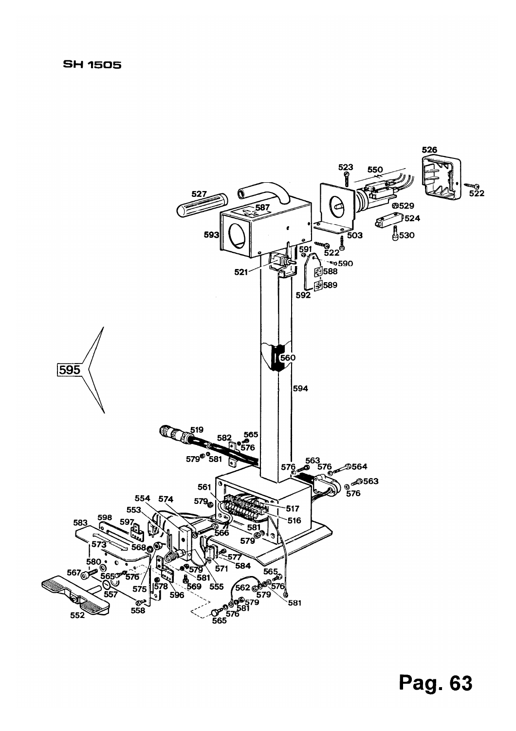## **SH 1505**